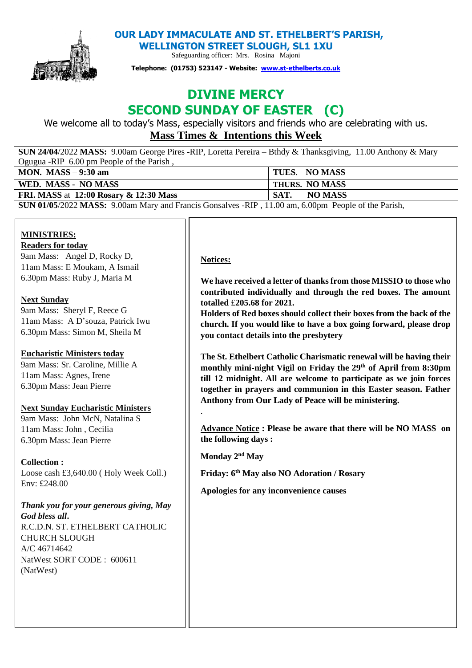

**OUR LADY IMMACULATE AND ST. ETHELBERT'S PARISH,** 

**WELLINGTON STREET SLOUGH, SL1 1XU** 

Safeguarding officer: Mrs. Rosina Majoni

**Telephone: (01753) 523147 - Website: [www.st-ethelberts.co.uk](about:blank)**

# **DIVINE MERCY SECOND SUNDAY OF EASTER (C)**

We welcome all to today's Mass, especially visitors and friends who are celebrating with us. **Mass Times & Intentions this Week** 

| <b>SUN 24/04/2022 MASS:</b> 9.00am George Pires -RIP, Loretta Pereira – Bthdy & Thanksgiving, 11.00 Anthony & Mary |                 |
|--------------------------------------------------------------------------------------------------------------------|-----------------|
| Ogugua -RIP 6.00 pm People of the Parish,                                                                          |                 |
| MON. MASS $-9:30$ am                                                                                               | TUES. NO MASS   |
| WED. MASS - NO MASS                                                                                                | THURS. NO MASS  |
| <b>FRI. MASS at 12:00 Rosary &amp; 12:30 Mass</b>                                                                  | NO MASS<br>SAT. |
| SUN 01/05/2022 MASS: 9.00am Mary and Francis Gonsalves -RIP, 11.00 am, 6.00pm People of the Parish,                |                 |

# **MINISTRIES:**

#### **Readers for today**

9am Mass: Angel D, Rocky D, 11am Mass: E Moukam, A Ismail 6.30pm Mass: Ruby J, Maria M

# **Next Sunday**

9am Mass: Sheryl F, Reece G 11am Mass: A D'souza, Patrick Iwu 6.30pm Mass: Simon M, Sheila M

# **Eucharistic Ministers today**

9am Mass: Sr. Caroline, Millie A 11am Mass: Agnes, Irene 6.30pm Mass: Jean Pierre

# **Next Sunday Eucharistic Ministers**

9am Mass: John McN, Natalina S 11am Mass: John , Cecilia 6.30pm Mass: Jean Pierre

# **Collection :**

Loose cash £3,640.00 ( Holy Week Coll.) Env: £248.00

*Thank you for your generous giving, May God bless all***.**  R.C.D.N. ST. ETHELBERT CATHOLIC CHURCH SLOUGH A/C 46714642 NatWest SORT CODE : 600611 (NatWest)

# **Notices:**

**We have received a letter of thanks from those MISSIO to those who contributed individually and through the red boxes. The amount totalled** £**205.68 for 2021.** 

**Holders of Red boxes should collect their boxes from the back of the church. If you would like to have a box going forward, please drop you contact details into the presbytery**

**The St. Ethelbert Catholic Charismatic renewal will be having their monthly mini-night Vigil on Friday the 29th of April from 8:30pm till 12 midnight. All are welcome to participate as we join forces together in prayers and communion in this Easter season. Father Anthony from Our Lady of Peace will be ministering.**

**Advance Notice : Please be aware that there will be NO MASS on the following days :**

**Monday 2nd May** 

.

**Friday: 6th May also NO Adoration / Rosary**

**Apologies for any inconvenience causes**